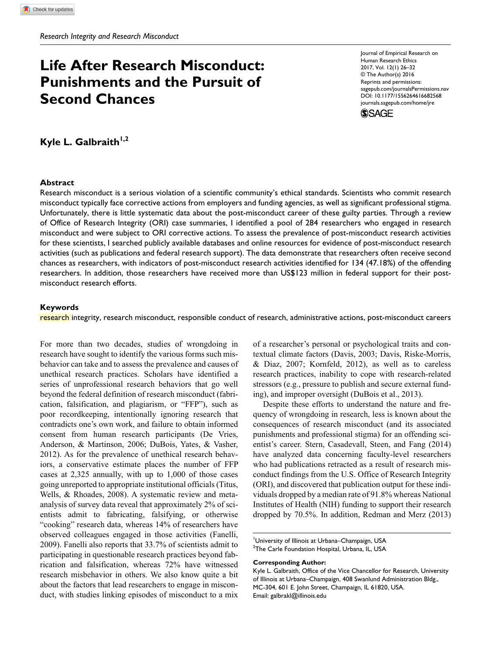# **Life After Research Misconduct: Punishments and the Pursuit of Second Chances**

Journal of Empirical Research on Human Research Ethics 2017, Vol. 12(1) 26–32 © The Author(s) 2016 Reprints and permissions: [sagepub.com/journalsPermissions.nav](http://sagepub.com/journalsPermissions.nav) DOI: [10.1177/1556264616682568](https://doi.org/10.1177/1556264616682568) [journals.sagepub.com/home/jre](http://journals.sagepub.com/home/jre)



Kyle L. Galbraith<sup>1,2</sup>

### **Abstract**

Research misconduct is a serious violation of a scientific community's ethical standards. Scientists who commit research misconduct typically face corrective actions from employers and funding agencies, as well as significant professional stigma. Unfortunately, there is little systematic data about the post-misconduct career of these guilty parties. Through a review of Office of Research Integrity (ORI) case summaries, I identified a pool of 284 researchers who engaged in research misconduct and were subject to ORI corrective actions. To assess the prevalence of post-misconduct research activities for these scientists, I searched publicly available databases and online resources for evidence of post-misconduct research activities (such as publications and federal research support). The data demonstrate that researchers often receive second chances as researchers, with indicators of post-misconduct research activities identified for 134 (47.18%) of the offending researchers. In addition, those researchers have received more than US\$123 million in federal support for their postmisconduct research efforts.

### **Keywords**

research integrity, research misconduct, responsible conduct of research, administrative actions, post-misconduct careers

For more than two decades, studies of wrongdoing in research have sought to identify the various forms such misbehavior can take and to assess the prevalence and causes of unethical research practices. Scholars have identified a series of unprofessional research behaviors that go well beyond the federal definition of research misconduct (fabrication, falsification, and plagiarism, or "FFP"), such as poor recordkeeping, intentionally ignoring research that contradicts one's own work, and failure to obtain informed consent from human research participants (De Vries, Anderson, & Martinson, 2006; DuBois, Yates, & Vasher, 2012). As for the prevalence of unethical research behaviors, a conservative estimate places the number of FFP cases at 2,325 annually, with up to 1,000 of those cases going unreported to appropriate institutional officials (Titus, Wells, & Rhoades, 2008). A systematic review and metaanalysis of survey data reveal that approximately 2% of scientists admit to fabricating, falsifying, or otherwise "cooking" research data, whereas 14% of researchers have observed colleagues engaged in those activities (Fanelli, 2009). Fanelli also reports that 33.7% of scientists admit to participating in questionable research practices beyond fabrication and falsification, whereas 72% have witnessed research misbehavior in others. We also know quite a bit about the factors that lead researchers to engage in misconduct, with studies linking episodes of misconduct to a mix

of a researcher's personal or psychological traits and contextual climate factors (Davis, 2003; Davis, Riske-Morris, & Diaz, 2007; Kornfeld, 2012), as well as to careless research practices, inability to cope with research-related stressors (e.g., pressure to publish and secure external funding), and improper oversight (DuBois et al., 2013).

Despite these efforts to understand the nature and frequency of wrongdoing in research, less is known about the consequences of research misconduct (and its associated punishments and professional stigma) for an offending scientist's career. Stern, Casadevall, Steen, and Fang (2014) have analyzed data concerning faculty-level researchers who had publications retracted as a result of research misconduct findings from the U.S. Office of Research Integrity (ORI), and discovered that publication output for these individuals dropped by a median rate of 91.8% whereas National Institutes of Health (NIH) funding to support their research dropped by 70.5%. In addition, Redman and Merz (2013)

#### **Corresponding Author:**

<sup>1</sup> University of Illinois at Urbana–Champaign, USA  $^{2}$ The Carle Foundation Hospital, Urbana, IL, USA

Kyle L. Galbraith, Office of the Vice Chancellor for Research, University of Illinois at Urbana–Champaign, 408 Swanlund Administration Bldg., MC-304, 601 E. John Street, Champaign, IL 61820, USA. Email: [galbrakl@illinois.edu](mailto:galbrakl@illinois.edu)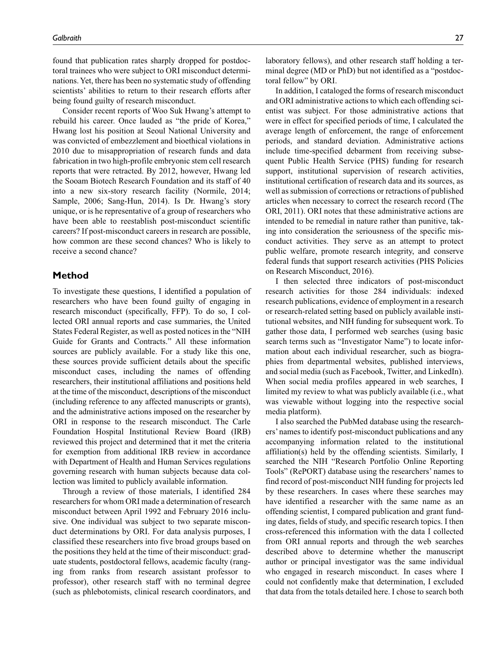found that publication rates sharply dropped for postdoctoral trainees who were subject to ORI misconduct determinations. Yet, there has been no systematic study of offending scientists' abilities to return to their research efforts after being found guilty of research misconduct.

Consider recent reports of Woo Suk Hwang's attempt to rebuild his career. Once lauded as "the pride of Korea," Hwang lost his position at Seoul National University and was convicted of embezzlement and bioethical violations in 2010 due to misappropriation of research funds and data fabrication in two high-profile embryonic stem cell research reports that were retracted. By 2012, however, Hwang led the Sooam Biotech Research Foundation and its staff of 40 into a new six-story research facility (Normile, 2014; Sample, 2006; Sang-Hun, 2014). Is Dr. Hwang's story unique, or is he representative of a group of researchers who have been able to reestablish post-misconduct scientific careers? If post-misconduct careers in research are possible, how common are these second chances? Who is likely to receive a second chance?

### **Method**

To investigate these questions, I identified a population of researchers who have been found guilty of engaging in research misconduct (specifically, FFP). To do so, I collected ORI annual reports and case summaries, the United States Federal Register, as well as posted notices in the "NIH Guide for Grants and Contracts." All these information sources are publicly available. For a study like this one, these sources provide sufficient details about the specific misconduct cases, including the names of offending researchers, their institutional affiliations and positions held at the time of the misconduct, descriptions of the misconduct (including reference to any affected manuscripts or grants), and the administrative actions imposed on the researcher by ORI in response to the research misconduct. The Carle Foundation Hospital Institutional Review Board (IRB) reviewed this project and determined that it met the criteria for exemption from additional IRB review in accordance with Department of Health and Human Services regulations governing research with human subjects because data collection was limited to publicly available information.

Through a review of those materials, I identified 284 researchers for whom ORI made a determination of research misconduct between April 1992 and February 2016 inclusive. One individual was subject to two separate misconduct determinations by ORI. For data analysis purposes, I classified these researchers into five broad groups based on the positions they held at the time of their misconduct: graduate students, postdoctoral fellows, academic faculty (ranging from ranks from research assistant professor to professor), other research staff with no terminal degree (such as phlebotomists, clinical research coordinators, and

laboratory fellows), and other research staff holding a terminal degree (MD or PhD) but not identified as a "postdoctoral fellow" by ORI.

In addition, I cataloged the forms of research misconduct and ORI administrative actions to which each offending scientist was subject. For those administrative actions that were in effect for specified periods of time, I calculated the average length of enforcement, the range of enforcement periods, and standard deviation. Administrative actions include time-specified debarment from receiving subsequent Public Health Service (PHS) funding for research support, institutional supervision of research activities, institutional certification of research data and its sources, as well as submission of corrections or retractions of published articles when necessary to correct the research record (The ORI, 2011). ORI notes that these administrative actions are intended to be remedial in nature rather than punitive, taking into consideration the seriousness of the specific misconduct activities. They serve as an attempt to protect public welfare, promote research integrity, and conserve federal funds that support research activities (PHS Policies on Research Misconduct, 2016).

I then selected three indicators of post-misconduct research activities for those 284 individuals: indexed research publications, evidence of employment in a research or research-related setting based on publicly available institutional websites, and NIH funding for subsequent work. To gather those data, I performed web searches (using basic search terms such as "Investigator Name") to locate information about each individual researcher, such as biographies from departmental websites, published interviews, and social media (such as Facebook, Twitter, and LinkedIn). When social media profiles appeared in web searches, I limited my review to what was publicly available (i.e., what was viewable without logging into the respective social media platform).

I also searched the PubMed database using the researchers' names to identify post-misconduct publications and any accompanying information related to the institutional affiliation(s) held by the offending scientists. Similarly, I searched the NIH "Research Portfolio Online Reporting Tools" (RePORT) database using the researchers' names to find record of post-misconduct NIH funding for projects led by these researchers. In cases where these searches may have identified a researcher with the same name as an offending scientist, I compared publication and grant funding dates, fields of study, and specific research topics. I then cross-referenced this information with the data I collected from ORI annual reports and through the web searches described above to determine whether the manuscript author or principal investigator was the same individual who engaged in research misconduct. In cases where I could not confidently make that determination, I excluded that data from the totals detailed here. I chose to search both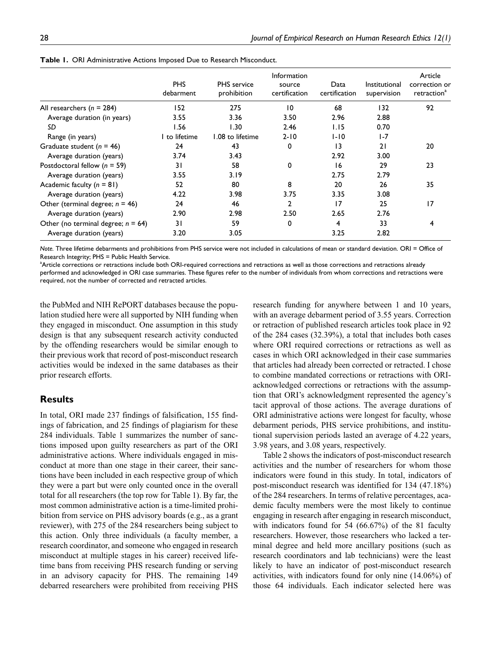|                                       | <b>PHS</b><br>debarment | <b>PHS</b> service<br>prohibition | Information<br>source<br>certification | Data<br>certification | Institutional<br>supervision | Article<br>correction or<br>retraction <sup>a</sup> |
|---------------------------------------|-------------------------|-----------------------------------|----------------------------------------|-----------------------|------------------------------|-----------------------------------------------------|
| All researchers $(n = 284)$           | 152                     | 275                               | 10                                     | 68                    | 132                          | 92                                                  |
| Average duration (in years)           | 3.55                    | 3.36                              | 3.50                                   | 2.96                  | 2.88                         |                                                     |
| SD                                    | 1.56                    | 1.30                              | 2.46                                   | 1.15                  | 0.70                         |                                                     |
| Range (in years)                      | l to lifetime           | 1.08 to lifetime                  | $2 - 10$                               | $1 - 10$              | $1-7$                        |                                                     |
| Graduate student ( $n = 46$ )         | 24                      | 43                                | 0                                      | $\overline{13}$       | 21                           | 20                                                  |
| Average duration (years)              | 3.74                    | 3.43                              |                                        | 2.92                  | 3.00                         |                                                     |
| Postdoctoral fellow ( $n = 59$ )      | 31                      | 58                                | 0                                      | 16                    | 29                           | 23                                                  |
| Average duration (years)              | 3.55                    | 3.19                              |                                        | 2.75                  | 2.79                         |                                                     |
| Academic faculty $(n = 81)$           | 52                      | 80                                | 8                                      | 20                    | 26                           | 35                                                  |
| Average duration (years)              | 4.22                    | 3.98                              | 3.75                                   | 3.35                  | 3.08                         |                                                     |
| Other (terminal degree; $n = 46$ )    | 24                      | 46                                | 2                                      | 17                    | 25                           | 17                                                  |
| Average duration (years)              | 2.90                    | 2.98                              | 2.50                                   | 2.65                  | 2.76                         |                                                     |
| Other (no terminal degree; $n = 64$ ) | 31                      | 59                                | 0                                      | 4                     | 33                           | 4                                                   |
| Average duration (years)              | 3.20                    | 3.05                              |                                        | 3.25                  | 2.82                         |                                                     |

**Table 1.** ORI Administrative Actions Imposed Due to Research Misconduct.

*Note.* Three lifetime debarments and prohibitions from PHS service were not included in calculations of mean or standard deviation. ORI = Office of Research Integrity; PHS = Public Health Service.

<sup>a</sup>Article corrections or retractions include both ORI-required corrections and retractions as well as those corrections and retractions already performed and acknowledged in ORI case summaries. These figures refer to the number of individuals from whom corrections and retractions were required, not the number of corrected and retracted articles.

the PubMed and NIH RePORT databases because the population studied here were all supported by NIH funding when they engaged in misconduct. One assumption in this study design is that any subsequent research activity conducted by the offending researchers would be similar enough to their previous work that record of post-misconduct research activities would be indexed in the same databases as their prior research efforts.

# **Results**

In total, ORI made 237 findings of falsification, 155 findings of fabrication, and 25 findings of plagiarism for these 284 individuals. Table 1 summarizes the number of sanctions imposed upon guilty researchers as part of the ORI administrative actions. Where individuals engaged in misconduct at more than one stage in their career, their sanctions have been included in each respective group of which they were a part but were only counted once in the overall total for all researchers (the top row for Table 1). By far, the most common administrative action is a time-limited prohibition from service on PHS advisory boards (e.g., as a grant reviewer), with 275 of the 284 researchers being subject to this action. Only three individuals (a faculty member, a research coordinator, and someone who engaged in research misconduct at multiple stages in his career) received lifetime bans from receiving PHS research funding or serving in an advisory capacity for PHS. The remaining 149 debarred researchers were prohibited from receiving PHS

research funding for anywhere between 1 and 10 years, with an average debarment period of 3.55 years. Correction or retraction of published research articles took place in 92 of the 284 cases (32.39%), a total that includes both cases where ORI required corrections or retractions as well as cases in which ORI acknowledged in their case summaries that articles had already been corrected or retracted. I chose to combine mandated corrections or retractions with ORIacknowledged corrections or retractions with the assumption that ORI's acknowledgment represented the agency's tacit approval of those actions. The average durations of ORI administrative actions were longest for faculty, whose debarment periods, PHS service prohibitions, and institutional supervision periods lasted an average of 4.22 years, 3.98 years, and 3.08 years, respectively.

Table 2 shows the indicators of post-misconduct research activities and the number of researchers for whom those indicators were found in this study. In total, indicators of post-misconduct research was identified for 134 (47.18%) of the 284 researchers. In terms of relative percentages, academic faculty members were the most likely to continue engaging in research after engaging in research misconduct, with indicators found for 54 (66.67%) of the 81 faculty researchers. However, those researchers who lacked a terminal degree and held more ancillary positions (such as research coordinators and lab technicians) were the least likely to have an indicator of post-misconduct research activities, with indicators found for only nine (14.06%) of those 64 individuals. Each indicator selected here was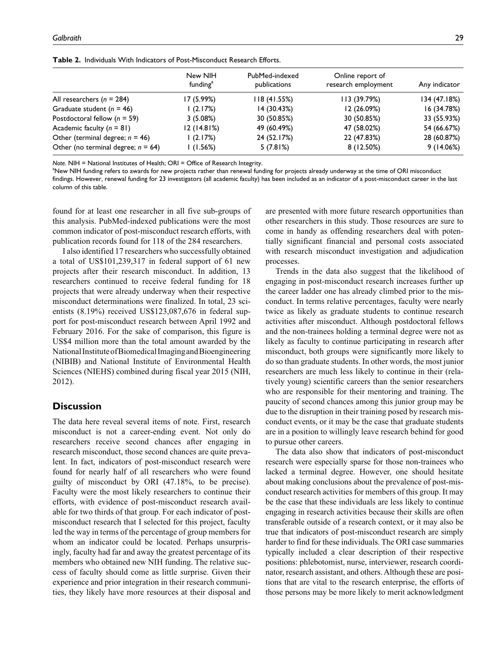|                                       | New NIH<br>funding <sup>a</sup> | PubMed-indexed<br>publications | Online report of<br>research employment | Any indicator |
|---------------------------------------|---------------------------------|--------------------------------|-----------------------------------------|---------------|
| All researchers $(n = 284)$           | 17 (5.99%)                      | 118(41.55%)                    | 113 (39.79%)                            | 134 (47.18%)  |
| Graduate student ( $n = 46$ )         | (2.17%)                         | 14 (30.43%)                    | 12(26.09%)                              | 16 (34.78%)   |
| Postdoctoral fellow $(n = 59)$        | 3(5.08%)                        | 30 (50.85%)                    | 30 (50.85%)                             | 33 (55.93%)   |
| Academic faculty $(n = 81)$           | 12(14.81%)                      | 49 (60.49%)                    | 47 (58.02%)                             | 54 (66.67%)   |
| Other (terminal degree; $n = 46$ )    | (2.17%)                         | 24 (52.17%)                    | 22 (47.83%)                             | 28 (60.87%)   |
| Other (no terminal degree; $n = 64$ ) | 1(1.56%)                        | 5(7.81%)                       | $8(12.50\%)$                            | 9(14.06%)     |

**Table 2.** Individuals With Indicators of Post-Misconduct Research Efforts.

*Note.* NIH = National Institutes of Health; ORI = Office of Research Integrity.

a New NIH funding refers to awards for new projects rather than renewal funding for projects already underway at the time of ORI misconduct findings. However, renewal funding for 23 investigators (all academic faculty) has been included as an indicator of a post-misconduct career in the last column of this table.

found for at least one researcher in all five sub-groups of this analysis. PubMed-indexed publications were the most common indicator of post-misconduct research efforts, with publication records found for 118 of the 284 researchers.

I also identified 17 researchers who successfully obtained a total of US\$101,239,317 in federal support of 61 new projects after their research misconduct. In addition, 13 researchers continued to receive federal funding for 18 projects that were already underway when their respective misconduct determinations were finalized. In total, 23 scientists (8.19%) received US\$123,087,676 in federal support for post-misconduct research between April 1992 and February 2016. For the sake of comparison, this figure is US\$4 million more than the total amount awarded by the National Institute of Biomedical Imaging and Bioengineering (NIBIB) and National Institute of Environmental Health Sciences (NIEHS) combined during fiscal year 2015 (NIH, 2012).

# **Discussion**

The data here reveal several items of note. First, research misconduct is not a career-ending event. Not only do researchers receive second chances after engaging in research misconduct, those second chances are quite prevalent. In fact, indicators of post-misconduct research were found for nearly half of all researchers who were found guilty of misconduct by ORI (47.18%, to be precise). Faculty were the most likely researchers to continue their efforts, with evidence of post-misconduct research available for two thirds of that group. For each indicator of postmisconduct research that I selected for this project, faculty led the way in terms of the percentage of group members for whom an indicator could be located. Perhaps unsurprisingly, faculty had far and away the greatest percentage of its members who obtained new NIH funding. The relative success of faculty should come as little surprise. Given their experience and prior integration in their research communities, they likely have more resources at their disposal and

are presented with more future research opportunities than other researchers in this study. Those resources are sure to come in handy as offending researchers deal with potentially significant financial and personal costs associated with research misconduct investigation and adjudication processes.

Trends in the data also suggest that the likelihood of engaging in post-misconduct research increases further up the career ladder one has already climbed prior to the misconduct. In terms relative percentages, faculty were nearly twice as likely as graduate students to continue research activities after misconduct. Although postdoctoral fellows and the non-trainees holding a terminal degree were not as likely as faculty to continue participating in research after misconduct, both groups were significantly more likely to do so than graduate students. In other words, the most junior researchers are much less likely to continue in their (relatively young) scientific careers than the senior researchers who are responsible for their mentoring and training. The paucity of second chances among this junior group may be due to the disruption in their training posed by research misconduct events, or it may be the case that graduate students are in a position to willingly leave research behind for good to pursue other careers.

The data also show that indicators of post-misconduct research were especially sparse for those non-trainees who lacked a terminal degree. However, one should hesitate about making conclusions about the prevalence of post-misconduct research activities for members of this group. It may be the case that these individuals are less likely to continue engaging in research activities because their skills are often transferable outside of a research context, or it may also be true that indicators of post-misconduct research are simply harder to find for these individuals. The ORI case summaries typically included a clear description of their respective positions: phlebotomist, nurse, interviewer, research coordinator, research assistant, and others. Although these are positions that are vital to the research enterprise, the efforts of those persons may be more likely to merit acknowledgment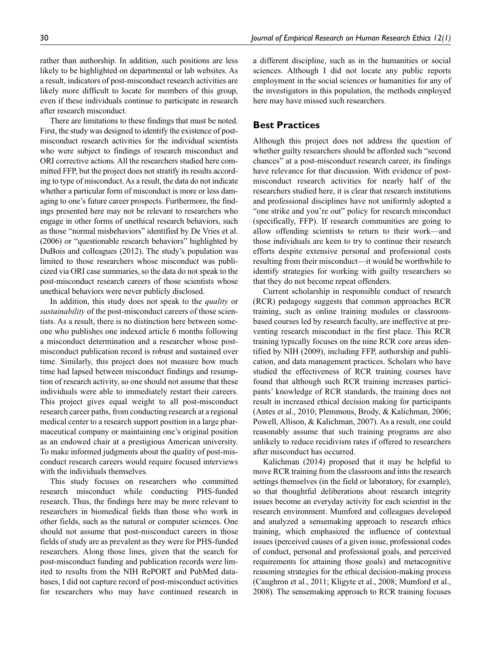rather than authorship. In addition, such positions are less likely to be highlighted on departmental or lab websites. As a result, indicators of post-misconduct research activities are likely more difficult to locate for members of this group, even if these individuals continue to participate in research after research misconduct.

There are limitations to these findings that must be noted. First, the study was designed to identify the existence of postmisconduct research activities for the individual scientists who were subject to findings of research misconduct and ORI corrective actions. All the researchers studied here committed FFP, but the project does not stratify its results according to type of misconduct. As a result, the data do not indicate whether a particular form of misconduct is more or less damaging to one's future career prospects. Furthermore, the findings presented here may not be relevant to researchers who engage in other forms of unethical research behaviors, such as those "normal misbehaviors" identified by De Vries et al. (2006) or "questionable research behaviors" highlighted by DuBois and colleagues (2012). The study's population was limited to those researchers whose misconduct was publicized via ORI case summaries, so the data do not speak to the post-misconduct research careers of those scientists whose unethical behaviors were never publicly disclosed.

In addition, this study does not speak to the *quality* or *sustainability* of the post-misconduct careers of those scientists. As a result, there is no distinction here between someone who publishes one indexed article 6 months following a misconduct determination and a researcher whose postmisconduct publication record is robust and sustained over time. Similarly, this project does not measure how much time had lapsed between misconduct findings and resumption of research activity, so one should not assume that these individuals were able to immediately restart their careers. This project gives equal weight to all post-misconduct research career paths, from conducting research at a regional medical center to a research support position in a large pharmaceutical company or maintaining one's original position as an endowed chair at a prestigious American university. To make informed judgments about the quality of post-misconduct research careers would require focused interviews with the individuals themselves.

This study focuses on researchers who committed research misconduct while conducting PHS-funded research. Thus, the findings here may be more relevant to researchers in biomedical fields than those who work in other fields, such as the natural or computer sciences. One should not assume that post-misconduct careers in those fields of study are as prevalent as they were for PHS-funded researchers. Along those lines, given that the search for post-misconduct funding and publication records were limited to results from the NIH RePORT and PubMed databases, I did not capture record of post-misconduct activities for researchers who may have continued research in a different discipline, such as in the humanities or social sciences. Although I did not locate any public reports employment in the social sciences or humanities for any of the investigators in this population, the methods employed here may have missed such researchers.

# **Best Practices**

Although this project does not address the question of whether guilty researchers should be afforded such "second chances" at a post-misconduct research career, its findings have relevance for that discussion. With evidence of postmisconduct research activities for nearly half of the researchers studied here, it is clear that research institutions and professional disciplines have not uniformly adopted a "one strike and you're out" policy for research misconduct (specifically, FFP). If research communities are going to allow offending scientists to return to their work—and those individuals are keen to try to continue their research efforts despite extensive personal and professional costs resulting from their misconduct—it would be worthwhile to identify strategies for working with guilty researchers so that they do not become repeat offenders.

Current scholarship in responsible conduct of research (RCR) pedagogy suggests that common approaches RCR training, such as online training modules or classroombased courses led by research faculty, are ineffective at preventing research misconduct in the first place. This RCR training typically focuses on the nine RCR core areas identified by NIH (2009), including FFP, authorship and publication, and data management practices. Scholars who have studied the effectiveness of RCR training courses have found that although such RCR training increases participants' knowledge of RCR standards, the training does not result in increased ethical decision making for participants (Antes et al., 2010; Plemmons, Brody, & Kalichman, 2006; Powell, Allison, & Kalichman, 2007). As a result, one could reasonably assume that such training programs are also unlikely to reduce recidivism rates if offered to researchers after misconduct has occurred.

Kalichman (2014) proposed that it may be helpful to move RCR training from the classroom and into the research settings themselves (in the field or laboratory, for example), so that thoughtful deliberations about research integrity issues become an everyday activity for each scientist in the research environment. Mumford and colleagues developed and analyzed a sensemaking approach to research ethics training, which emphasized the influence of contextual issues (perceived causes of a given issue, professional codes of conduct, personal and professional goals, and perceived requirements for attaining those goals) and metacognitive reasoning strategies for the ethical decision-making process (Caughron et al., 2011; Kligyte et al., 2008; Mumford et al., 2008). The sensemaking approach to RCR training focuses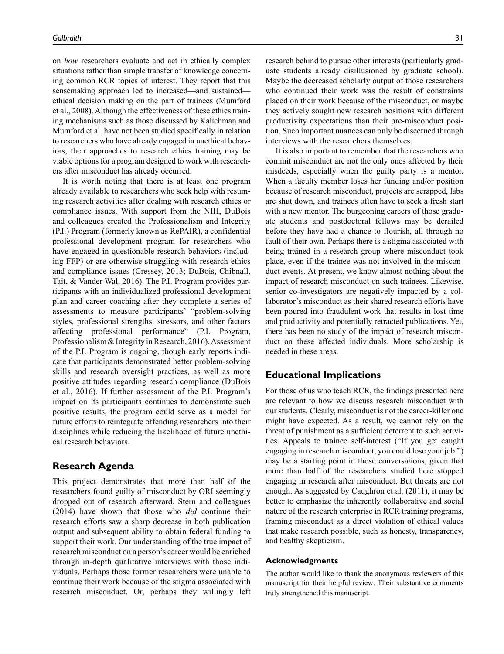on *how* researchers evaluate and act in ethically complex situations rather than simple transfer of knowledge concerning common RCR topics of interest. They report that this sensemaking approach led to increased—and sustained ethical decision making on the part of trainees (Mumford et al., 2008). Although the effectiveness of these ethics training mechanisms such as those discussed by Kalichman and Mumford et al. have not been studied specifically in relation to researchers who have already engaged in unethical behaviors, their approaches to research ethics training may be viable options for a program designed to work with researchers after misconduct has already occurred.

It is worth noting that there is at least one program already available to researchers who seek help with resuming research activities after dealing with research ethics or compliance issues. With support from the NIH, DuBois and colleagues created the Professionalism and Integrity (P.I.) Program (formerly known as RePAIR), a confidential professional development program for researchers who have engaged in questionable research behaviors (including FFP) or are otherwise struggling with research ethics and compliance issues (Cressey, 2013; DuBois, Chibnall, Tait, & Vander Wal, 2016). The P.I. Program provides participants with an individualized professional development plan and career coaching after they complete a series of assessments to measure participants' "problem-solving styles, professional strengths, stressors, and other factors affecting professional performance" (P.I. Program, Professionalism & Integrity in Research, 2016). Assessment of the P.I. Program is ongoing, though early reports indicate that participants demonstrated better problem-solving skills and research oversight practices, as well as more positive attitudes regarding research compliance (DuBois et al., 2016). If further assessment of the P.I. Program's impact on its participants continues to demonstrate such positive results, the program could serve as a model for future efforts to reintegrate offending researchers into their disciplines while reducing the likelihood of future unethical research behaviors.

# **Research Agenda**

This project demonstrates that more than half of the researchers found guilty of misconduct by ORI seemingly dropped out of research afterward. Stern and colleagues (2014) have shown that those who *did* continue their research efforts saw a sharp decrease in both publication output and subsequent ability to obtain federal funding to support their work. Our understanding of the true impact of research misconduct on a person's career would be enriched through in-depth qualitative interviews with those individuals. Perhaps those former researchers were unable to continue their work because of the stigma associated with research misconduct. Or, perhaps they willingly left

research behind to pursue other interests (particularly graduate students already disillusioned by graduate school). Maybe the decreased scholarly output of those researchers who continued their work was the result of constraints placed on their work because of the misconduct, or maybe they actively sought new research positions with different productivity expectations than their pre-misconduct position. Such important nuances can only be discerned through interviews with the researchers themselves.

It is also important to remember that the researchers who commit misconduct are not the only ones affected by their misdeeds, especially when the guilty party is a mentor. When a faculty member loses her funding and/or position because of research misconduct, projects are scrapped, labs are shut down, and trainees often have to seek a fresh start with a new mentor. The burgeoning careers of those graduate students and postdoctoral fellows may be derailed before they have had a chance to flourish, all through no fault of their own. Perhaps there is a stigma associated with being trained in a research group where misconduct took place, even if the trainee was not involved in the misconduct events. At present, we know almost nothing about the impact of research misconduct on such trainees. Likewise, senior co-investigators are negatively impacted by a collaborator's misconduct as their shared research efforts have been poured into fraudulent work that results in lost time and productivity and potentially retracted publications. Yet, there has been no study of the impact of research misconduct on these affected individuals. More scholarship is needed in these areas.

# **Educational Implications**

For those of us who teach RCR, the findings presented here are relevant to how we discuss research misconduct with our students. Clearly, misconduct is not the career-killer one might have expected. As a result, we cannot rely on the threat of punishment as a sufficient deterrent to such activities. Appeals to trainee self-interest ("If you get caught engaging in research misconduct, you could lose your job.") may be a starting point in those conversations, given that more than half of the researchers studied here stopped engaging in research after misconduct. But threats are not enough. As suggested by Caughron et al. (2011), it may be better to emphasize the inherently collaborative and social nature of the research enterprise in RCR training programs, framing misconduct as a direct violation of ethical values that make research possible, such as honesty, transparency, and healthy skepticism.

### **Acknowledgments**

The author would like to thank the anonymous reviewers of this manuscript for their helpful review. Their substantive comments truly strengthened this manuscript.